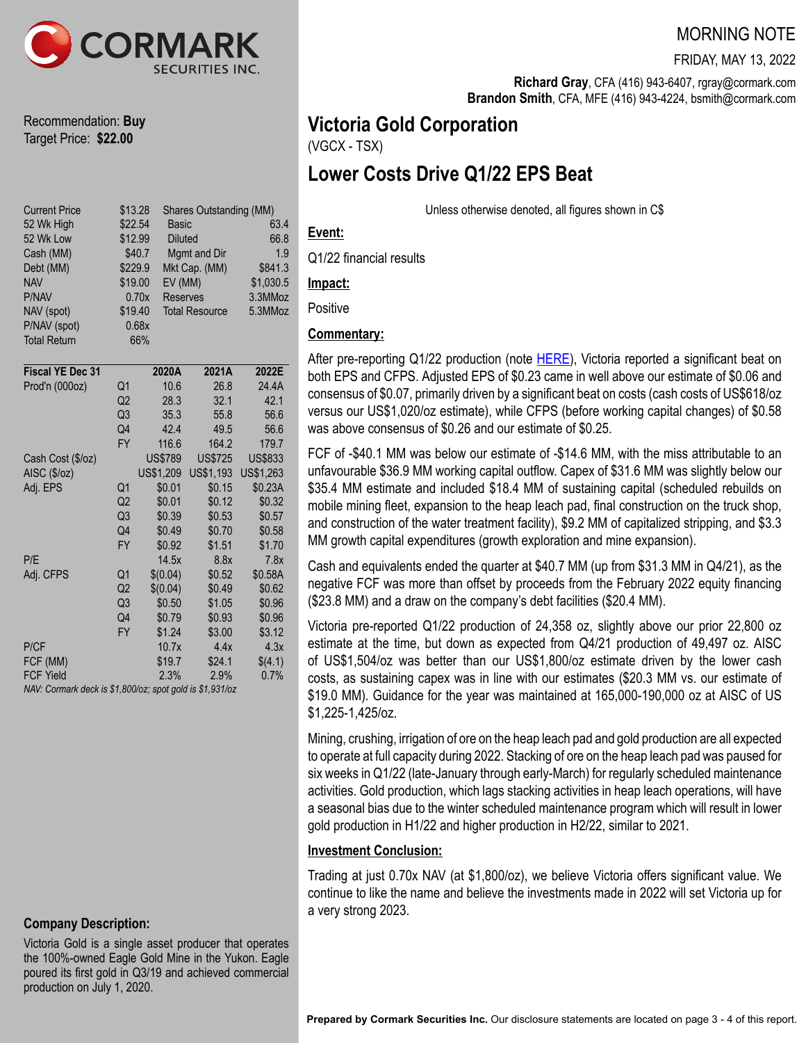

Recommendation: **Buy** Target Price: **\$22.00**

| <b>Current Price</b><br>52 Wk High<br>52 Wk Low<br>Cash (MM)<br>Debt (MM)<br><b>NAV</b><br>P/NAV<br>NAV (spot)<br>P/NAV (spot)<br><b>Total Return</b> |                | \$13.28<br>\$22.54<br>Basic<br>\$12.99<br><b>Diluted</b><br>\$40.7<br>\$229.9<br>EV (MM)<br>\$19.00<br>0.70x<br><b>Reserves</b><br>\$19.40<br>0.68x<br>66% | <b>Shares Outstanding (MM)</b><br>Mgmt and Dir<br>Mkt Cap. (MM)<br><b>Total Resource</b> | 63.4<br>66.8<br>1.9<br>\$841.3<br>\$1,030.5<br>3.3MMoz<br>5.3MMoz |  |  |  |  |  |  |
|-------------------------------------------------------------------------------------------------------------------------------------------------------|----------------|------------------------------------------------------------------------------------------------------------------------------------------------------------|------------------------------------------------------------------------------------------|-------------------------------------------------------------------|--|--|--|--|--|--|
| <b>Fiscal YE Dec 31</b>                                                                                                                               |                | 2020A                                                                                                                                                      | 2021A                                                                                    | 2022E                                                             |  |  |  |  |  |  |
| Prod'n (000oz)                                                                                                                                        | Q1             | 10.6                                                                                                                                                       | 26.8                                                                                     | 24.4A                                                             |  |  |  |  |  |  |
|                                                                                                                                                       | Q2             | 28.3                                                                                                                                                       | 32.1                                                                                     | 42.1                                                              |  |  |  |  |  |  |
|                                                                                                                                                       | Q3             | 35.3                                                                                                                                                       | 55.8                                                                                     | 56.6                                                              |  |  |  |  |  |  |
|                                                                                                                                                       | Q4             | 42.4                                                                                                                                                       | 49.5                                                                                     | 56.6                                                              |  |  |  |  |  |  |
|                                                                                                                                                       | FY             | 116.6                                                                                                                                                      | 164.2                                                                                    | 179.7                                                             |  |  |  |  |  |  |
| Cash Cost (\$/oz)                                                                                                                                     |                | <b>US\$789</b>                                                                                                                                             | <b>US\$725</b>                                                                           | <b>US\$833</b>                                                    |  |  |  |  |  |  |
| AISC (\$/oz)                                                                                                                                          |                | US\$1,209                                                                                                                                                  | US\$1,193                                                                                | US\$1,263                                                         |  |  |  |  |  |  |
| Adj. EPS                                                                                                                                              | Q1             | \$0.01                                                                                                                                                     | \$0.15                                                                                   | \$0.23A                                                           |  |  |  |  |  |  |
|                                                                                                                                                       | Q <sub>2</sub> | \$0.01                                                                                                                                                     | \$0.12                                                                                   | \$0.32                                                            |  |  |  |  |  |  |
|                                                                                                                                                       | Q3             | \$0.39                                                                                                                                                     | \$0.53                                                                                   | \$0.57                                                            |  |  |  |  |  |  |
|                                                                                                                                                       | Q4             | \$0.49                                                                                                                                                     | \$0.70                                                                                   | \$0.58                                                            |  |  |  |  |  |  |
|                                                                                                                                                       | <b>FY</b>      | \$0.92                                                                                                                                                     | \$1.51                                                                                   | \$1.70                                                            |  |  |  |  |  |  |
| P/E                                                                                                                                                   |                | 14.5x                                                                                                                                                      | 8.8x                                                                                     | 7.8x                                                              |  |  |  |  |  |  |
| Adj. CFPS                                                                                                                                             | Q <sub>1</sub> | \$(0.04)                                                                                                                                                   | \$0.52                                                                                   | \$0.58A                                                           |  |  |  |  |  |  |
|                                                                                                                                                       | Q2             | \$(0.04)                                                                                                                                                   | \$0.49                                                                                   | \$0.62                                                            |  |  |  |  |  |  |
|                                                                                                                                                       | Q3             | \$0.50                                                                                                                                                     | \$1.05                                                                                   | \$0.96                                                            |  |  |  |  |  |  |
|                                                                                                                                                       | Q4             | \$0.79                                                                                                                                                     | \$0.93                                                                                   | \$0.96                                                            |  |  |  |  |  |  |
|                                                                                                                                                       | <b>FY</b>      | \$1.24                                                                                                                                                     | \$3.00                                                                                   | \$3.12                                                            |  |  |  |  |  |  |
| P/CF                                                                                                                                                  |                | 10.7x                                                                                                                                                      | 4.4x                                                                                     | 4.3x                                                              |  |  |  |  |  |  |
| FCF (MM)                                                                                                                                              |                | \$19.7                                                                                                                                                     | \$24.1                                                                                   | \$(4.1)                                                           |  |  |  |  |  |  |
| <b>FCF Yield</b>                                                                                                                                      |                | 2.3%                                                                                                                                                       | 2.9%                                                                                     | 0.7%                                                              |  |  |  |  |  |  |
| NAV: Cormark deck is \$1,800/oz; spot gold is \$1,931/oz                                                                                              |                |                                                                                                                                                            |                                                                                          |                                                                   |  |  |  |  |  |  |

**Company Description:**

Victoria Gold is a single asset producer that operates the 100%-owned Eagle Gold Mine in the Yukon. Eagle poured its first gold in Q3/19 and achieved commercial production on July 1, 2020.

## MORNING NOTE

FRIDAY, MAY 13, 2022

**Richard Gray**, CFA (416) 943-6407, rgray@cormark.com **Brandon Smith**, CFA, MFE (416) 943-4224, bsmith@cormark.com

# **Victoria Gold Corporation**

(VGCX - TSX)

# **Lower Costs Drive Q1/22 EPS Beat**

Unless otherwise denoted, all figures shown in C\$

## **Event:**

Q1/22 financial results

### **Impact:**

**Positive** 

## **Commentary:**

After pre-reporting Q1/22 production (note [HERE\)](https://cormark.bluematrix.com/links2/doc/pdf/650488da-2570-456a-ad74-afd5d3a3f6e3?id=cmdyYXlAY29ybWFyay5jb206NA==), Victoria reported a significant beat on both EPS and CFPS. Adjusted EPS of \$0.23 came in well above our estimate of \$0.06 and consensus of \$0.07, primarily driven by a significant beat on costs (cash costs of US\$618/oz versus our US\$1,020/oz estimate), while CFPS (before working capital changes) of \$0.58 was above consensus of \$0.26 and our estimate of \$0.25.

FCF of -\$40.1 MM was below our estimate of -\$14.6 MM, with the miss attributable to an unfavourable \$36.9 MM working capital outflow. Capex of \$31.6 MM was slightly below our \$35.4 MM estimate and included \$18.4 MM of sustaining capital (scheduled rebuilds on mobile mining fleet, expansion to the heap leach pad, final construction on the truck shop, and construction of the water treatment facility), \$9.2 MM of capitalized stripping, and \$3.3 MM growth capital expenditures (growth exploration and mine expansion).

Cash and equivalents ended the quarter at \$40.7 MM (up from \$31.3 MM in Q4/21), as the negative FCF was more than offset by proceeds from the February 2022 equity financing (\$23.8 MM) and a draw on the company's debt facilities (\$20.4 MM).

Victoria pre-reported Q1/22 production of 24,358 oz, slightly above our prior 22,800 oz estimate at the time, but down as expected from Q4/21 production of 49,497 oz. AISC of US\$1,504/oz was better than our US\$1,800/oz estimate driven by the lower cash costs, as sustaining capex was in line with our estimates (\$20.3 MM vs. our estimate of \$19.0 MM). Guidance for the year was maintained at 165,000-190,000 oz at AISC of US \$1,225-1,425/oz.

Mining, crushing, irrigation of ore on the heap leach pad and gold production are all expected to operate at full capacity during 2022. Stacking of ore on the heap leach pad was paused for six weeks in Q1/22 (late-January through early-March) for regularly scheduled maintenance activities. Gold production, which lags stacking activities in heap leach operations, will have a seasonal bias due to the winter scheduled maintenance program which will result in lower gold production in H1/22 and higher production in H2/22, similar to 2021.

## **Investment Conclusion:**

Trading at just 0.70x NAV (at \$1,800/oz), we believe Victoria offers significant value. We continue to like the name and believe the investments made in 2022 will set Victoria up for a very strong 2023.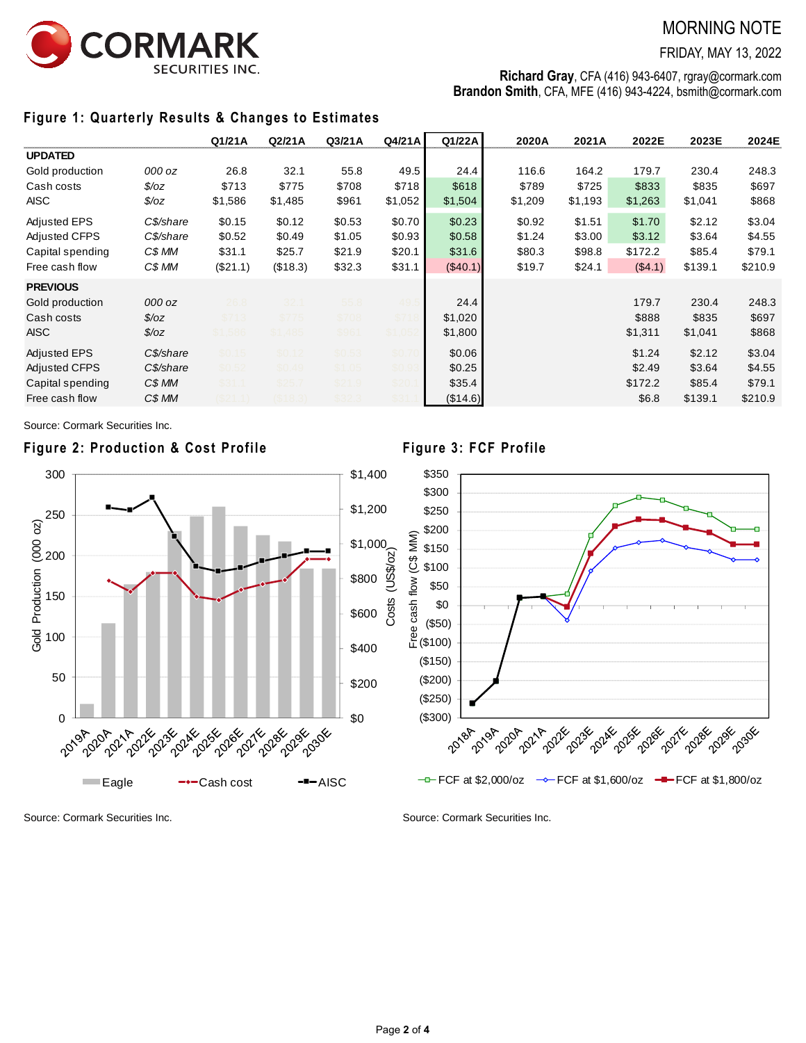

## MORNING NOTE

FRIDAY, MAY 13, 2022

**Richard Gray**, CFA (416) 943-6407, rgray@cormark.com **Brandon Smith**, CFA, MFE (416) 943-4224, bsmith@cormark.com

## **Figure 1: Quarterly Results & Changes to Estimates**

|                      |                | Q1/21A   | Q2/21A   | Q3/21A | Q4/21A  | Q1/22A   | 2020A   | 2021A   | 2022E   | 2023E   | 2024E   |
|----------------------|----------------|----------|----------|--------|---------|----------|---------|---------|---------|---------|---------|
| <b>UPDATED</b>       |                |          |          |        |         |          |         |         |         |         |         |
| Gold production      | 000 oz         | 26.8     | 32.1     | 55.8   | 49.5    | 24.4     | 116.6   | 164.2   | 179.7   | 230.4   | 248.3   |
| Cash costs           | $\sqrt{$}$ /0Z | \$713    | \$775    | \$708  | \$718   | \$618    | \$789   | \$725   | \$833   | \$835   | \$697   |
| AISC                 | $\sqrt[6]{oz}$ | \$1,586  | \$1,485  | \$961  | \$1,052 | \$1,504  | \$1,209 | \$1,193 | \$1,263 | \$1,041 | \$868   |
| <b>Adjusted EPS</b>  | C\$/share      | \$0.15   | \$0.12   | \$0.53 | \$0.70  | \$0.23   | \$0.92  | \$1.51  | \$1.70  | \$2.12  | \$3.04  |
| <b>Adjusted CFPS</b> | C\$/share      | \$0.52   | \$0.49   | \$1.05 | \$0.93  | \$0.58   | \$1.24  | \$3.00  | \$3.12  | \$3.64  | \$4.55  |
| Capital spending     | C\$ MM         | \$31.1   | \$25.7   | \$21.9 | \$20.1  | \$31.6   | \$80.3  | \$98.8  | \$172.2 | \$85.4  | \$79.1  |
| Free cash flow       | C\$ MM         | (\$21.1) | (\$18.3) | \$32.3 | \$31.1  | (\$40.1) | \$19.7  | \$24.1  | (\$4.1) | \$139.1 | \$210.9 |
| <b>PREVIOUS</b>      |                |          |          |        |         |          |         |         |         |         |         |
| Gold production      | 000 oz         | 26.8     | 32.1     | 55.8   | 49.     | 24.4     |         |         | 179.7   | 230.4   | 248.3   |
| Cash costs           | $\sqrt{$7}$    | \$713    | \$775    | \$708  | \$71    | \$1,020  |         |         | \$888   | \$835   | \$697   |
| <b>AISC</b>          | $\sqrt{$}$ /0Z | \$1.586  | \$1.485  | \$961  | \$1.052 | \$1,800  |         |         | \$1,311 | \$1,041 | \$868   |
| <b>Adjusted EPS</b>  | C\$/share      | \$0.15   | \$0.12   | \$0.53 | \$0.7   | \$0.06   |         |         | \$1.24  | \$2.12  | \$3.04  |
| <b>Adjusted CFPS</b> | C\$/share      | \$0.52   | \$0.49   | \$1.05 | \$0.9   | \$0.25   |         |         | \$2.49  | \$3.64  | \$4.55  |
| Capital spending     | C\$ MM         | \$31.1   | \$25.7   | \$21.9 | \$20    | \$35.4   |         |         | \$172.2 | \$85.4  | \$79.1  |
| Free cash flow       | C\$ MM         | (S21.1)  | (S18.3)  | \$32.3 | \$31    | (\$14.6) |         |         | \$6.8   | \$139.1 | \$210.9 |

Source: Cormark Securities Inc.

### **Figure 2: Production & Cost Profile Figure 3: FCF Profile**





Source: Cormark Securities Inc. Source: Cormark Securities Inc.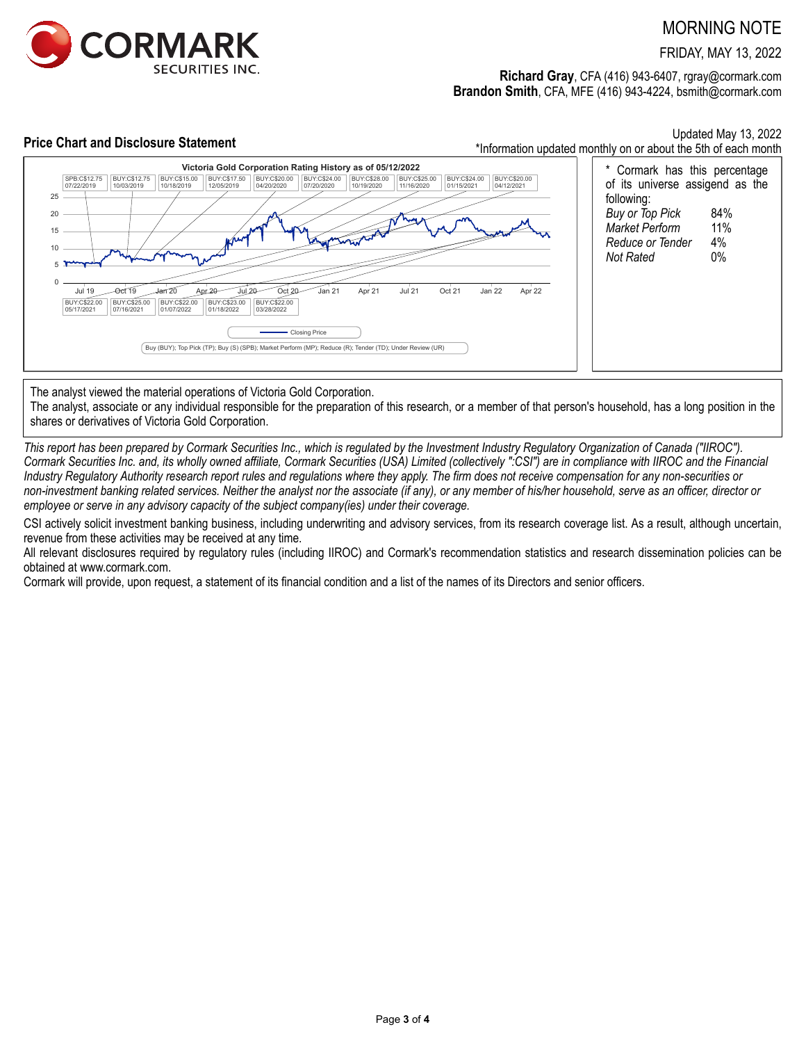

## MORNING NOTE

FRIDAY, MAY 13, 2022

**Richard Gray**, CFA (416) 943-6407, rgray@cormark.com **Brandon Smith**, CFA, MFE (416) 943-4224, bsmith@cormark.com



The analyst viewed the material operations of Victoria Gold Corporation.

The analyst, associate or any individual responsible for the preparation of this research, or a member of that person's household, has a long position in the shares or derivatives of Victoria Gold Corporation.

*This report has been prepared by Cormark Securities Inc., which is regulated by the Investment Industry Regulatory Organization of Canada ("IIROC"). Cormark Securities Inc. and, its wholly owned affiliate, Cormark Securities (USA) Limited (collectively ":CSI") are in compliance with IIROC and the Financial Industry Regulatory Authority research report rules and regulations where they apply. The firm does not receive compensation for any non-securities or non-investment banking related services. Neither the analyst nor the associate (if any), or any member of his/her household, serve as an officer, director or employee or serve in any advisory capacity of the subject company(ies) under their coverage.*

CSI actively solicit investment banking business, including underwriting and advisory services, from its research coverage list. As a result, although uncertain, revenue from these activities may be received at any time.

All relevant disclosures required by regulatory rules (including IIROC) and Cormark's recommendation statistics and research dissemination policies can be obtained at www.cormark.com.

Cormark will provide, upon request, a statement of its financial condition and a list of the names of its Directors and senior officers.